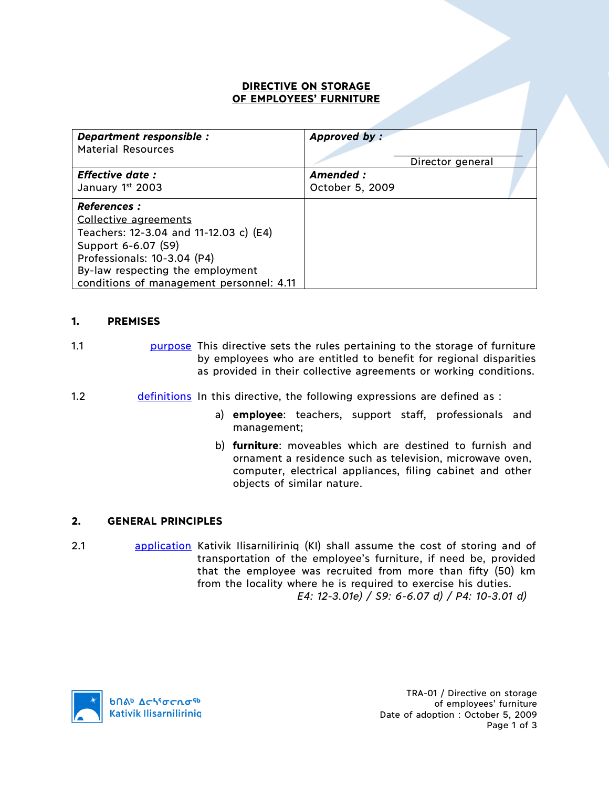### **DIRECTIVE ON STORAGE OF EMPLOYEES' FURNITURE**

| Department responsible :                 | Approved by:    |                  |  |
|------------------------------------------|-----------------|------------------|--|
| <b>Material Resources</b>                |                 |                  |  |
| <b>Effective date:</b>                   | Amended:        | Director general |  |
| January 1st 2003                         | October 5, 2009 |                  |  |
| <b>References :</b>                      |                 |                  |  |
| Collective agreements                    |                 |                  |  |
| Teachers: 12-3.04 and 11-12.03 c) (E4)   |                 |                  |  |
| Support 6-6.07 (S9)                      |                 |                  |  |
| Professionals: 10-3.04 (P4)              |                 |                  |  |
| By-law respecting the employment         |                 |                  |  |
| conditions of management personnel: 4.11 |                 |                  |  |

#### **1. PREMISES**

- 1.1 purpose This directive sets the rules pertaining to the storage of furniture by employees who are entitled to benefit for regional disparities as provided in their collective agreements or working conditions.
- 1.2 definitions In this directive, the following expressions are defined as :
	- a) **employee**: teachers, support staff, professionals and management;
	- b) **furniture**: moveables which are destined to furnish and ornament a residence such as television, microwave oven, computer, electrical appliances, filing cabinet and other objects of similar nature.

#### **2. GENERAL PRINCIPLES**

2.1 **application** Kativik Ilisarniliriniq (KI) shall assume the cost of storing and of transportation of the employee's furniture, if need be, provided that the employee was recruited from more than fifty (50) km from the locality where he is required to exercise his duties. *E4: 12-3.01e) / S9: 6-6.07 d) / P4: 10-3.01 d)*

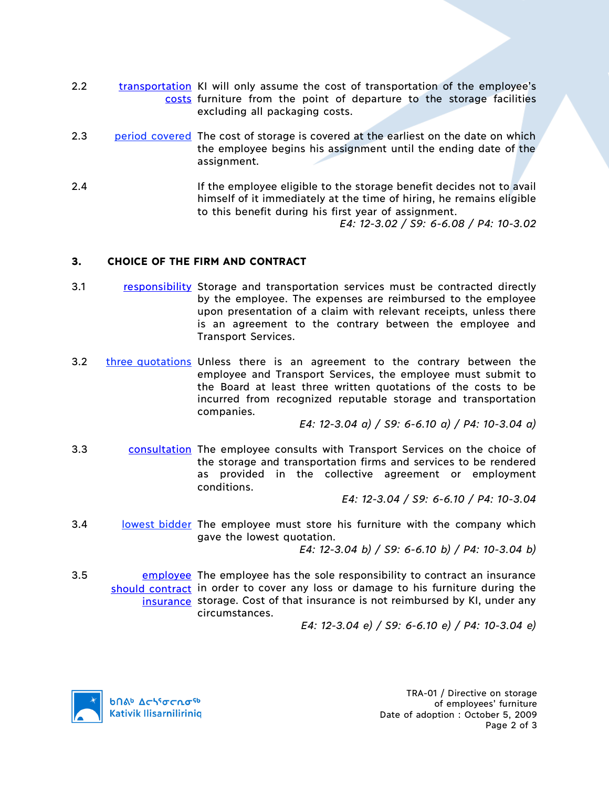- 2.2 transportation KI will only assume the cost of transportation of the employee's costs furniture from the point of departure to the storage facilities excluding all packaging costs.
- 2.3 period covered The cost of storage is covered at the earliest on the date on which the employee begins his assignment until the ending date of the assignment.
- 2.4 If the employee eligible to the storage benefit decides not to avail himself of it immediately at the time of hiring, he remains eligible to this benefit during his first year of assignment. *E4: 12-3.02 / S9: 6-6.08 / P4: 10-3.02*

## **3. CHOICE OF THE FIRM AND CONTRACT**

- 3.1 responsibility Storage and transportation services must be contracted directly by the employee. The expenses are reimbursed to the employee upon presentation of a claim with relevant receipts, unless there is an agreement to the contrary between the employee and Transport Services.
- 3.2 three quotations Unless there is an agreement to the contrary between the employee and Transport Services, the employee must submit to the Board at least three written quotations of the costs to be incurred from recognized reputable storage and transportation companies.

*E4: 12-3.04 a) / S9: 6-6.10 a) / P4: 10-3.04 a)*

3.3 consultation The employee consults with Transport Services on the choice of the storage and transportation firms and services to be rendered as provided in the collective agreement or employment conditions.

*E4: 12-3.04 / S9: 6-6.10 / P4: 10-3.04*

3.4 lowest bidder The employee must store his furniture with the company which gave the lowest quotation.

*E4: 12-3.04 b) / S9: 6-6.10 b) / P4: 10-3.04 b)*

3.5 **EMPLOYEE The employee has the sole responsibility to contract an insurance** should contract in order to cover any loss or damage to his furniture during the insurance storage. Cost of that insurance is not reimbursed by KI, under any circumstances.

*E4: 12-3.04 e) / S9: 6-6.10 e) / P4: 10-3.04 e)*